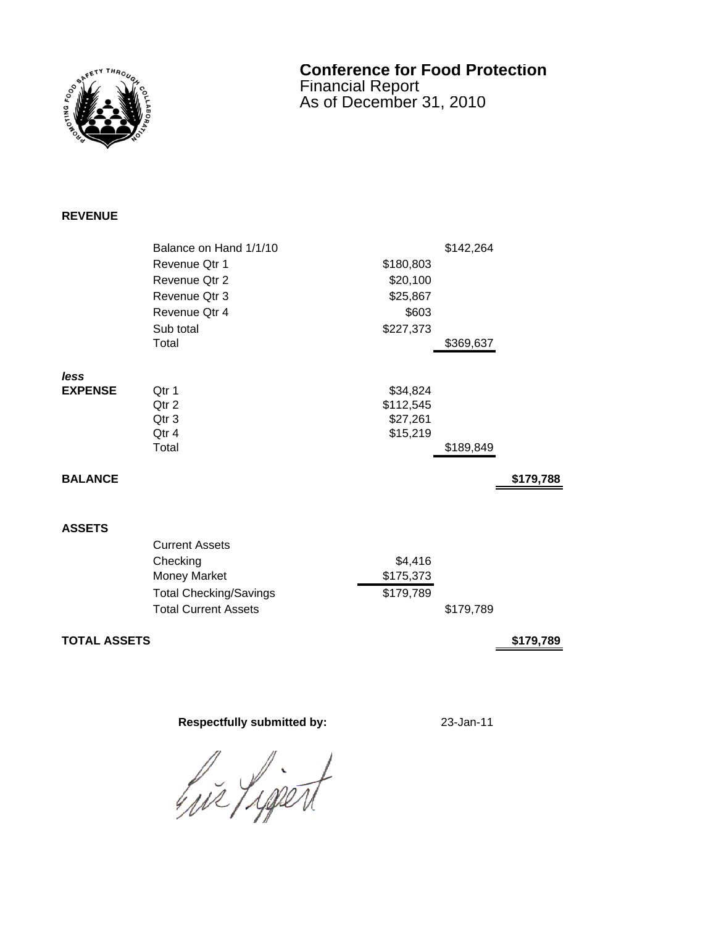

## **Conference for Food Protection** Financial Report As of December 31, 2010

## **REVENUE**

|                | Balance on Hand 1/1/10        |           | \$142,264 |           |
|----------------|-------------------------------|-----------|-----------|-----------|
|                | Revenue Qtr 1                 | \$180,803 |           |           |
|                | Revenue Qtr 2                 | \$20,100  |           |           |
|                | Revenue Qtr 3                 | \$25,867  |           |           |
|                | Revenue Qtr 4                 | \$603     |           |           |
|                | Sub total                     | \$227,373 |           |           |
|                | Total                         |           | \$369,637 |           |
| less           |                               |           |           |           |
| <b>EXPENSE</b> | Qtr 1                         | \$34,824  |           |           |
|                | Qtr 2                         | \$112,545 |           |           |
|                | Qtr 3                         | \$27,261  |           |           |
|                | Qtr 4                         | \$15,219  |           |           |
|                | Total                         |           | \$189,849 |           |
| <b>BALANCE</b> |                               |           |           | \$179,788 |
|                |                               |           |           |           |
|                |                               |           |           |           |
| <b>ASSETS</b>  |                               |           |           |           |
|                | <b>Current Assets</b>         |           |           |           |
|                | Checking                      | \$4,416   |           |           |
|                | Money Market                  | \$175,373 |           |           |
|                | <b>Total Checking/Savings</b> | \$179,789 |           |           |
|                | <b>Total Current Assets</b>   |           | \$179,789 |           |
|                |                               |           |           |           |

**TOTAL ASSETS 6179,789** 

## **Respectfully submitted by:** 23-Jan-11

hir Lipert